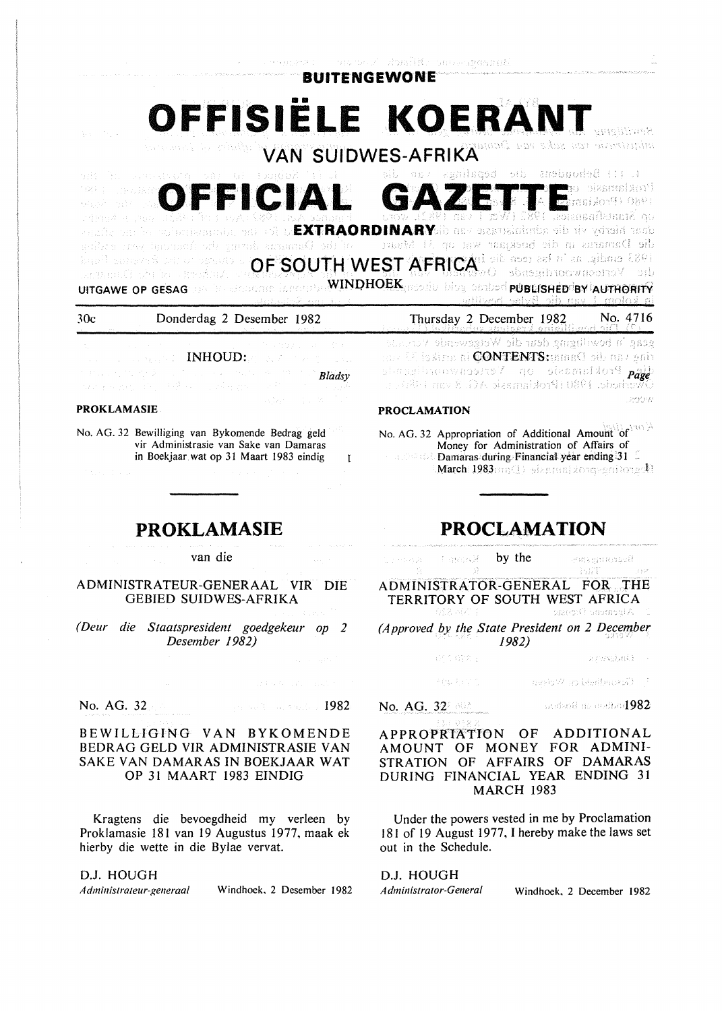**BUITENGEWONE** 

•• **OFFISIELE KOERANT VAN SUIDWES-AFRIKA**  L (1) Behoudens die bepalings van lmakiamasio qe **OFFICIAL**  (1880-19) Stain ่ สอเลกกลิ่มผมที่ กุบ

daar hierby vir die administrasie van die**YARAORDINARYS**id for the Adamstracion et the planes<br>die Damaras in die boekgaar wat op 31 Maart – of the Damaras dorng dee funtering geat ending **OF SOUTH WEST AFRICAL DESPIT AT SOUTH WEST AFRICA**<sup>196</sup> hand subscribe Recent Fand

UITGAWE OP GESAG WINDHOEK POSSIBLY VAN HET HET DIE TRIE TRIED WINDHOEK PUBLISHEEVIBY IAUTHORITY ,;,,

PROCLAMATION

Thursday 2 December 1982. No. 4716

geag 'n bewilbging deur die Wetgewende Vormande nus 22 iosime ai **CONTENTS:**panaC oib ass pair slarsgibnoownsere 7 qo shemuldor9 paye  $\mathbf{w}$ chede. 1980 (Proklamask AG. 8 van 14<sup>8</sup>15. s

|  | (#2000) (1990) (1990) (1990) (1990) (1990) (1990) (1990) (1990)<br>and the company of <b>INHOUD:</b> And the proposition           |
|--|------------------------------------------------------------------------------------------------------------------------------------|
|  | a kan nga pagkalang ika-19 di kalawang pangalawang kalimatan ng <mark>Bladsy</mark><br>Pangangang atau ang kalawang pangangan na P |
|  | 그 사람들은 그 사람들은 아이들이 아니라 아이들은 아이들이 아니라 아이들이 아니라 아이들이 아니라 아이들이 아니라 아이들이 아니라 아이들이 아니라 아니라 아니라 아니라 아니라 아니라 아니라 아니라                      |

30c Donderdag 2 Desember 1982

#### PROKLAMASIE

No. AG. 32 Bewilliging van Bykomende Bedrag geld vir Administrasie van Sake van Damaras in Boekjaar wat op 31 Maart 1983 eindig  $\mathbf{r}$ 

### **PROKLAMASIE**

#### van die

ADMINISTRATEUR-GENERAAL VIR DIE GEBIED SUIDWES-AFRIKA

*(Deur die Staatspresident goedgekeur op 2 Desember 1982)* 

No. AG. 32 And the contract of the second 1982

#### BEWILLIGING VAN BYKOMENDE BEDRAG GELD VIR ADMINISTRASIE VAN SAKE VAN DAMARAS IN BOEKJAAR WAT OP 31 MAART 1983 EINDIG

Kragtens die bevoegdheid my verleen by Proklamasie 181 van 19 Augustus 1977, maak ek hierby die wette in die Bylae vervat.

#### D.J. HOUGH

Administrateur-generaal Windhoek. 2 Desember 1982

## **PROCLAMATION**

March  $1983$   $\text{me}(\cdot)$  -degraphenor scriborg  $\mathbb R$ 

No. AG. 32 Appropriation of Additional Amount of  $\mathbb{R}^{N}$ Money for Administration of Affairs of **Damaras during Financial year ending 31** 

 $\beta$  -molek by the Bestonnerne 出賞 ADMINISTRATOR-GENERAL FOR THE TERRITORY OF SOUTH WEST AFRICA Alpement Diense

*(Approved by the State President on 2 December* . *1982)* 

| (1977) 433 死日 | snadad). | $\sim$ |
|---------------|----------|--------|
|               |          |        |

 $\gamma$  . Governbeid on Weisen  $\gamma$ 

No. AG.  $32^7$  ME constants and an excellent  $1982$ 

**突起するにた。** 

APPROPRIATION OF ADDITIONAL AMOUNT OF MONEY FOR ADMINI-STRATION OF AFFAIRS OF DAMARAS DURING FINANCIAL YEAR ENDING 31 MARCH 1983

Under the powers vested in me by Proclamation 181 of 19 August 1977, I hereby make the laws set out in the Schedule.

## D.J. HOUGH

*Administrator-General* Windhoek. 2 December 1982

23552